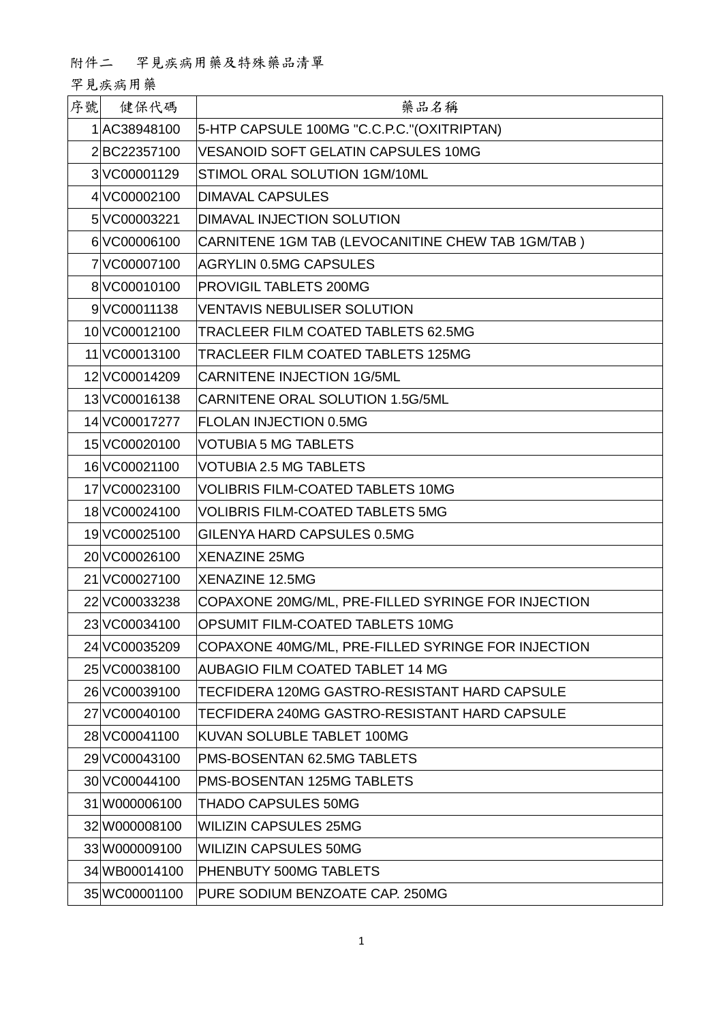## 附件二 罕見疾病用藥及特殊藥品清單

## 罕見疾病用藥

| 序號 | 健保代碼          | 藥品名稱                                               |
|----|---------------|----------------------------------------------------|
|    | 1AC38948100   | 5-HTP CAPSULE 100MG "C.C.P.C."(OXITRIPTAN)         |
|    | 2BC22357100   | <b>VESANOID SOFT GELATIN CAPSULES 10MG</b>         |
|    | 3 VC00001129  | STIMOL ORAL SOLUTION 1GM/10ML                      |
|    | 4 VC00002100  | <b>DIMAVAL CAPSULES</b>                            |
|    | 5 VC00003221  | <b>DIMAVAL INJECTION SOLUTION</b>                  |
|    | 6 VC00006100  | CARNITENE 1GM TAB (LEVOCANITINE CHEW TAB 1GM/TAB)  |
|    | 7 VC00007100  | <b>AGRYLIN 0.5MG CAPSULES</b>                      |
|    | 8 VC00010100  | <b>PROVIGIL TABLETS 200MG</b>                      |
|    | 9 VC00011138  | <b>VENTAVIS NEBULISER SOLUTION</b>                 |
|    | 10 VC00012100 | TRACLEER FILM COATED TABLETS 62.5MG                |
|    | 11 VC00013100 | <b>TRACLEER FILM COATED TABLETS 125MG</b>          |
|    | 12 VC00014209 | <b>CARNITENE INJECTION 1G/5ML</b>                  |
|    | 13 VC00016138 | <b>CARNITENE ORAL SOLUTION 1.5G/5ML</b>            |
|    | 14 VC00017277 | <b>FLOLAN INJECTION 0.5MG</b>                      |
|    | 15 VC00020100 | <b>VOTUBIA 5 MG TABLETS</b>                        |
|    | 16 VC00021100 | <b>VOTUBIA 2.5 MG TABLETS</b>                      |
|    | 17 VC00023100 | <b>VOLIBRIS FILM-COATED TABLETS 10MG</b>           |
|    | 18 VC00024100 | <b>VOLIBRIS FILM-COATED TABLETS 5MG</b>            |
|    | 19 VC00025100 | GILENYA HARD CAPSULES 0.5MG                        |
|    | 20 VC00026100 | <b>XENAZINE 25MG</b>                               |
|    | 21 VC00027100 | XENAZINE 12.5MG                                    |
|    | 22 VC00033238 | COPAXONE 20MG/ML, PRE-FILLED SYRINGE FOR INJECTION |
|    | 23 VC00034100 | <b>OPSUMIT FILM-COATED TABLETS 10MG</b>            |
|    | 24 VC00035209 | COPAXONE 40MG/ML, PRE-FILLED SYRINGE FOR INJECTION |
|    | 25 VC00038100 | <b>AUBAGIO FILM COATED TABLET 14 MG</b>            |
|    | 26 VC00039100 | TECFIDERA 120MG GASTRO-RESISTANT HARD CAPSULE      |
|    | 27 VC00040100 | TECFIDERA 240MG GASTRO-RESISTANT HARD CAPSULE      |
|    | 28 VC00041100 | KUVAN SOLUBLE TABLET 100MG                         |
|    | 29 VC00043100 | PMS-BOSENTAN 62.5MG TABLETS                        |
|    | 30 VC00044100 | <b>PMS-BOSENTAN 125MG TABLETS</b>                  |
|    | 31W000006100  | <b>THADO CAPSULES 50MG</b>                         |
|    | 32W000008100  | <b>WILIZIN CAPSULES 25MG</b>                       |
|    | 33W000009100  | <b>WILIZIN CAPSULES 50MG</b>                       |
|    | 34 WB00014100 | PHENBUTY 500MG TABLETS                             |
|    | 35 WC00001100 | PURE SODIUM BENZOATE CAP. 250MG                    |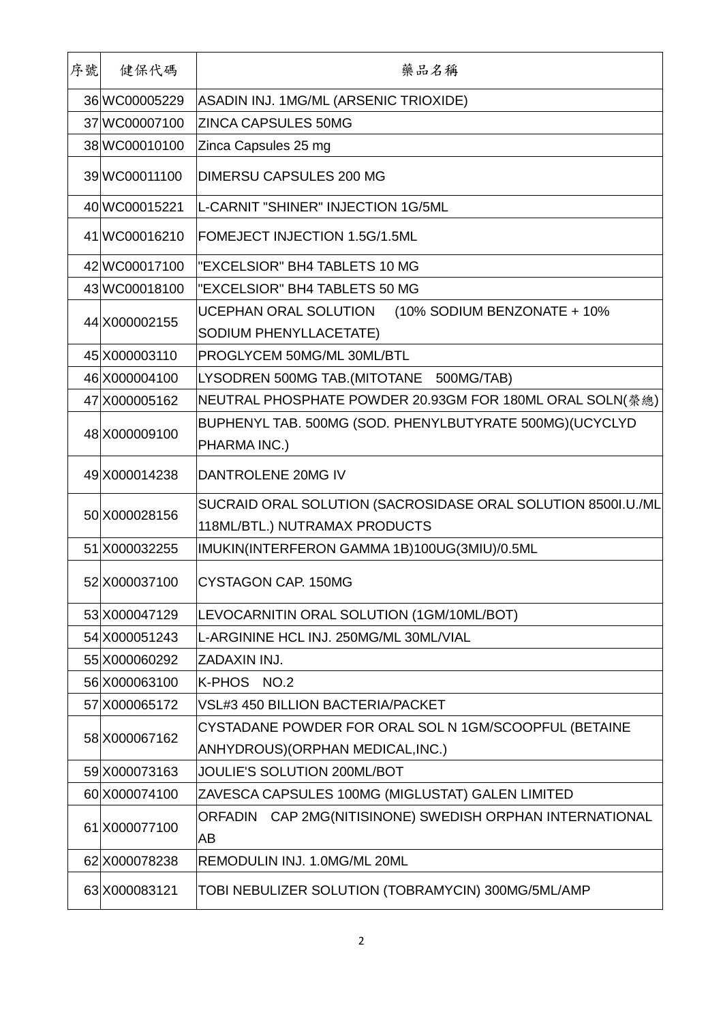| 序號 | 健保代碼          | 藥品名稱                                                                            |
|----|---------------|---------------------------------------------------------------------------------|
|    | 36 WC00005229 | ASADIN INJ. 1MG/ML (ARSENIC TRIOXIDE)                                           |
|    | 37 WC00007100 | <b>ZINCA CAPSULES 50MG</b>                                                      |
|    | 38 WC00010100 | Zinca Capsules 25 mg                                                            |
|    | 39 WC00011100 | <b>DIMERSU CAPSULES 200 MG</b>                                                  |
|    | 40 WC00015221 | L-CARNIT "SHINER" INJECTION 1G/5ML                                              |
|    | 41 WC00016210 | <b>FOMEJECT INJECTION 1.5G/1.5ML</b>                                            |
|    | 42 WC00017100 | "EXCELSIOR" BH4 TABLETS 10 MG                                                   |
|    | 43 WC00018100 | "EXCELSIOR" BH4 TABLETS 50 MG                                                   |
|    | 44 X000002155 | UCEPHAN ORAL SOLUTION<br>(10% SODIUM BENZONATE + 10%)<br>SODIUM PHENYLLACETATE) |
|    | 45 X000003110 | <b>PROGLYCEM 50MG/ML 30ML/BTL</b>                                               |
|    | 46 X000004100 | LYSODREN 500MG TAB.(MITOTANE 500MG/TAB)                                         |
|    | 47 X000005162 | NEUTRAL PHOSPHATE POWDER 20.93GM FOR 180ML ORAL SOLN(榮總)                        |
|    | 48 X000009100 | BUPHENYL TAB. 500MG (SOD. PHENYLBUTYRATE 500MG)(UCYCLYD<br>PHARMA INC.)         |
|    | 49 X000014238 | <b>DANTROLENE 20MG IV</b>                                                       |
|    | 50 X000028156 | SUCRAID ORAL SOLUTION (SACROSIDASE ORAL SOLUTION 8500I.U./ML                    |
|    |               | 118ML/BTL.) NUTRAMAX PRODUCTS                                                   |
|    | 51 X000032255 | IMUKIN(INTERFERON GAMMA 1B)100UG(3MIU)/0.5ML                                    |
|    | 52 X000037100 | <b>CYSTAGON CAP. 150MG</b>                                                      |
|    | 53 X000047129 | LEVOCARNITIN ORAL SOLUTION (1GM/10ML/BOT)                                       |
|    | 54 X000051243 | L-ARGININE HCL INJ. 250MG/ML 30ML/VIAL                                          |
|    | 55 X000060292 | ZADAXIN INJ.                                                                    |
|    | 56 X000063100 | K-PHOS NO.2                                                                     |
|    | 57 X000065172 | <b>VSL#3 450 BILLION BACTERIA/PACKET</b>                                        |
|    |               | CYSTADANE POWDER FOR ORAL SOL N 1GM/SCOOPFUL (BETAINE                           |
|    | 58 X000067162 | ANHYDROUS) (ORPHAN MEDICAL, INC.)                                               |
|    | 59 X000073163 | <b>JOULIE'S SOLUTION 200ML/BOT</b>                                              |
|    | 60 X000074100 | ZAVESCA CAPSULES 100MG (MIGLUSTAT) GALEN LIMITED                                |
|    | 61 X000077100 | ORFADIN CAP 2MG(NITISINONE) SWEDISH ORPHAN INTERNATIONAL<br>AB                  |
|    | 62 X000078238 | REMODULIN INJ. 1.0MG/ML 20ML                                                    |
|    | 63 X000083121 | TOBI NEBULIZER SOLUTION (TOBRAMYCIN) 300MG/5ML/AMP                              |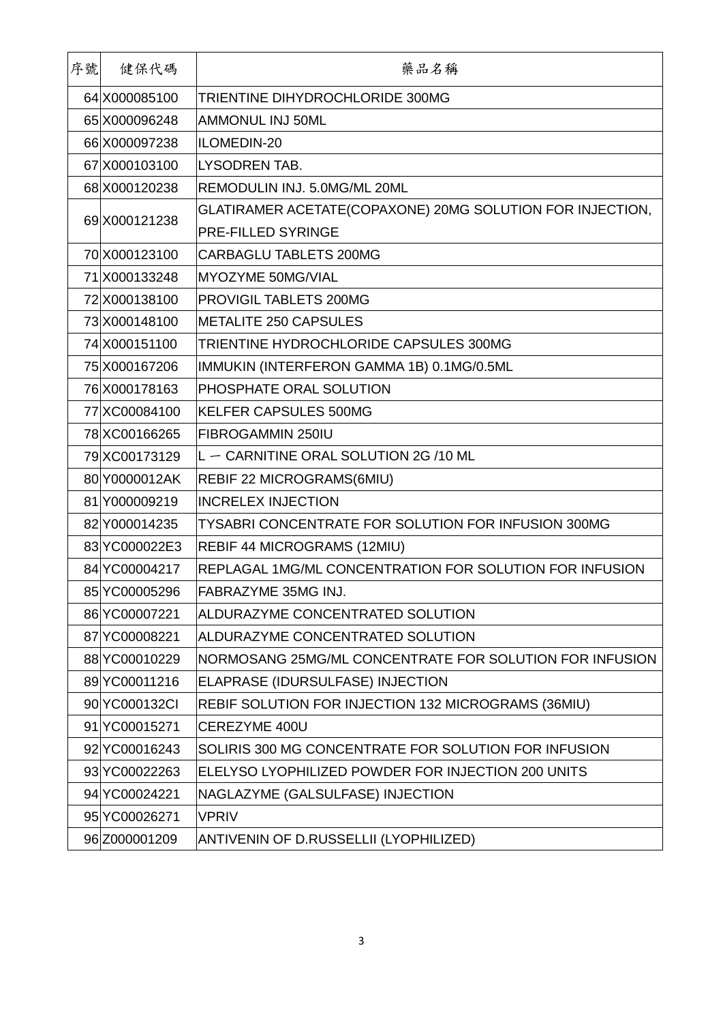| 序號 | 健保代碼          | 藥品名稱                                                      |
|----|---------------|-----------------------------------------------------------|
|    | 64 X000085100 | TRIENTINE DIHYDROCHLORIDE 300MG                           |
|    | 65 X000096248 | AMMONUL INJ 50ML                                          |
|    | 66 X000097238 | ILOMEDIN-20                                               |
|    | 67 X000103100 | LYSODREN TAB.                                             |
|    | 68 X000120238 | REMODULIN INJ. 5.0MG/ML 20ML                              |
|    | 69 X000121238 | GLATIRAMER ACETATE(COPAXONE) 20MG SOLUTION FOR INJECTION, |
|    |               | <b>PRE-FILLED SYRINGE</b>                                 |
|    | 70 X000123100 | <b>CARBAGLU TABLETS 200MG</b>                             |
|    | 71 X000133248 | MYOZYME 50MG/VIAL                                         |
|    | 72X000138100  | <b>PROVIGIL TABLETS 200MG</b>                             |
|    | 73 X000148100 | <b>METALITE 250 CAPSULES</b>                              |
|    | 74 X000151100 | TRIENTINE HYDROCHLORIDE CAPSULES 300MG                    |
|    | 75 X000167206 | IMMUKIN (INTERFERON GAMMA 1B) 0.1MG/0.5ML                 |
|    | 76 X000178163 | PHOSPHATE ORAL SOLUTION                                   |
|    | 77 XC00084100 | <b>KELFER CAPSULES 500MG</b>                              |
|    | 78 XC00166265 | FIBROGAMMIN 250IU                                         |
|    | 79 XC00173129 | $L - CARNITINE ORAL SOLUTION 2G/10 ML$                    |
|    | 80 Y0000012AK | REBIF 22 MICROGRAMS(6MIU)                                 |
|    | 81 Y000009219 | <b>INCRELEX INJECTION</b>                                 |
|    | 82 Y000014235 | TYSABRI CONCENTRATE FOR SOLUTION FOR INFUSION 300MG       |
|    | 83 YC000022E3 | REBIF 44 MICROGRAMS (12MIU)                               |
|    | 84 YC00004217 | REPLAGAL 1MG/ML CONCENTRATION FOR SOLUTION FOR INFUSION   |
|    | 85 YC00005296 | FABRAZYME 35MG INJ.                                       |
|    | 86 YC00007221 | ALDURAZYME CONCENTRATED SOLUTION                          |
|    | 87 YC00008221 | ALDURAZYME CONCENTRATED SOLUTION                          |
|    | 88 YC00010229 | NORMOSANG 25MG/ML CONCENTRATE FOR SOLUTION FOR INFUSION   |
|    | 89 YC00011216 | ELAPRASE (IDURSULFASE) INJECTION                          |
|    | 90 YC000132CI | REBIF SOLUTION FOR INJECTION 132 MICROGRAMS (36MIU)       |
|    | 91 YC00015271 | CEREZYME 400U                                             |
|    | 92 YC00016243 | SOLIRIS 300 MG CONCENTRATE FOR SOLUTION FOR INFUSION      |
|    | 93 YC00022263 | ELELYSO LYOPHILIZED POWDER FOR INJECTION 200 UNITS        |
|    | 94 YC00024221 | NAGLAZYME (GALSULFASE) INJECTION                          |
|    | 95 YC00026271 | <b>VPRIV</b>                                              |
|    | 96 Z000001209 | ANTIVENIN OF D.RUSSELLII (LYOPHILIZED)                    |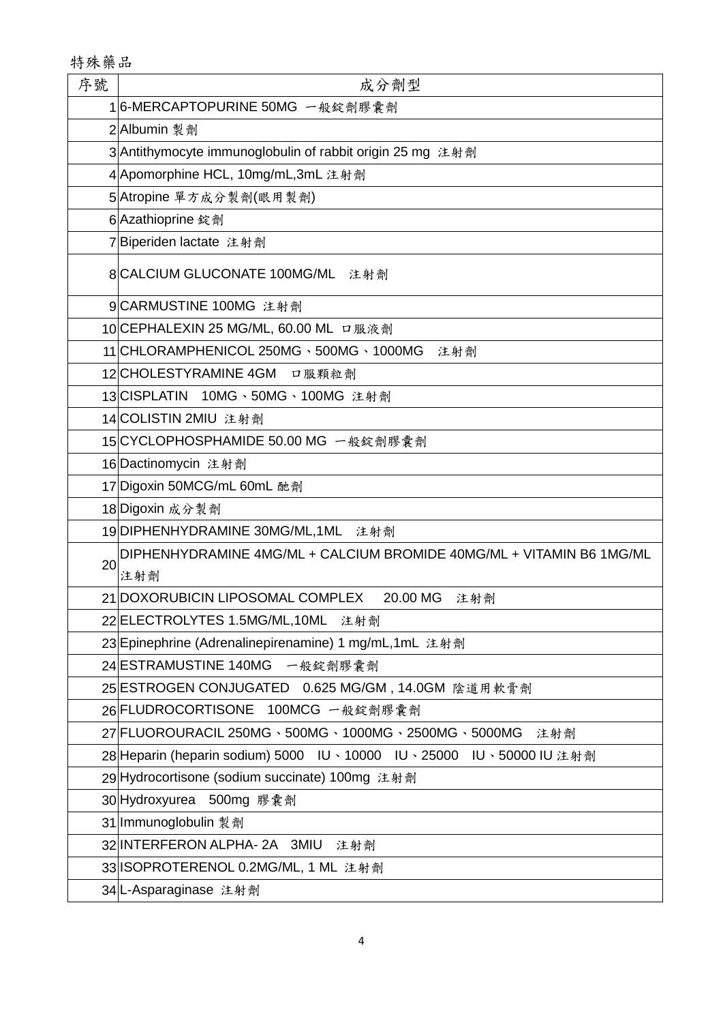特殊藥品

| 序號 | 成分劑型                                                                        |
|----|-----------------------------------------------------------------------------|
|    | 16-MERCAPTOPURINE 50MG 一般錠劑膠囊劑                                              |
|    | 2 Albumin 製劑                                                                |
|    | 3 Antithymocyte immunoglobulin of rabbit origin 25 mg 注射劑                   |
|    | 4 Apomorphine HCL, 10mg/mL,3mL 注射劑                                          |
|    | 5 Atropine 單方成分製劑(眼用製劑)                                                     |
|    | 6 Azathioprine 錠劑                                                           |
|    | 7 Biperiden lactate 注射劑                                                     |
|    | 8 CALCIUM GLUCONATE 100MG/ML 注射劑                                            |
|    | 9 CARMUSTINE 100MG 注射劑                                                      |
|    | 10 CEPHALEXIN 25 MG/ML, 60.00 ML 口服液劑                                       |
|    | 11 CHLORAMPHENICOL 250MG · 500MG · 1000MG<br>注射劑                            |
|    | 12 CHOLESTYRAMINE 4GM 口服顆粒劑                                                 |
|    | 13 CISPLATIN 10MG、50MG、100MG 注射劑                                            |
|    | 14 COLISTIN 2MIU 注射劑                                                        |
|    | 15 CYCLOPHOSPHAMIDE 50.00 MG 一般錠劑膠囊劑                                        |
|    | 16 Dactinomycin 注射劑                                                         |
|    | 17 Digoxin 50MCG/mL 60mL 酏劑                                                 |
|    | 18 Digoxin 成分製劑                                                             |
|    | 19 DIPHENHYDRAMINE 30MG/ML,1ML 注射劑                                          |
| 20 | DIPHENHYDRAMINE 4MG/ML + CALCIUM BROMIDE 40MG/ML + VITAMIN B6 1MG/ML        |
|    | 注射劑                                                                         |
|    | 21 DOXORUBICIN LIPOSOMAL COMPLEX<br>20.00 MG<br>注射劑                         |
|    | 22 ELECTROLYTES 1.5MG/ML,10ML 注射劑                                           |
|    | 23 Epinephrine (Adrenalinepirenamine) 1 mg/mL, 1 mL 注射劑                     |
|    | 24 ESTRAMUSTINE 140MG 一般錠劑膠囊劑                                               |
|    | 25 ESTROGEN CONJUGATED 0.625 MG/GM, 14.0GM 陰道用軟膏劑                           |
|    | 26 FLUDROCORTISONE 100MCG 一般錠劑膠囊劑                                           |
|    | 27 FLUOROURACIL 250MG · 500MG · 1000MG · 2500MG · 5000MG<br>注射劑             |
|    | 28 Heparin (heparin sodium) 5000  HU · 10000  HU · 25000  HU · 50000 HU 注射劑 |
|    | 29 Hydrocortisone (sodium succinate) 100mg 注射劑                              |
|    | 30 Hydroxyurea 500mg 膠囊劑                                                    |
|    | 31 Immunoglobulin 製劑                                                        |
|    | 32 INTERFERON ALPHA-2A 3MIU<br>注射劑                                          |
|    | 33 ISOPROTERENOL 0.2MG/ML, 1 ML 注射劑                                         |
|    | 34L-Asparaginase 注射劑                                                        |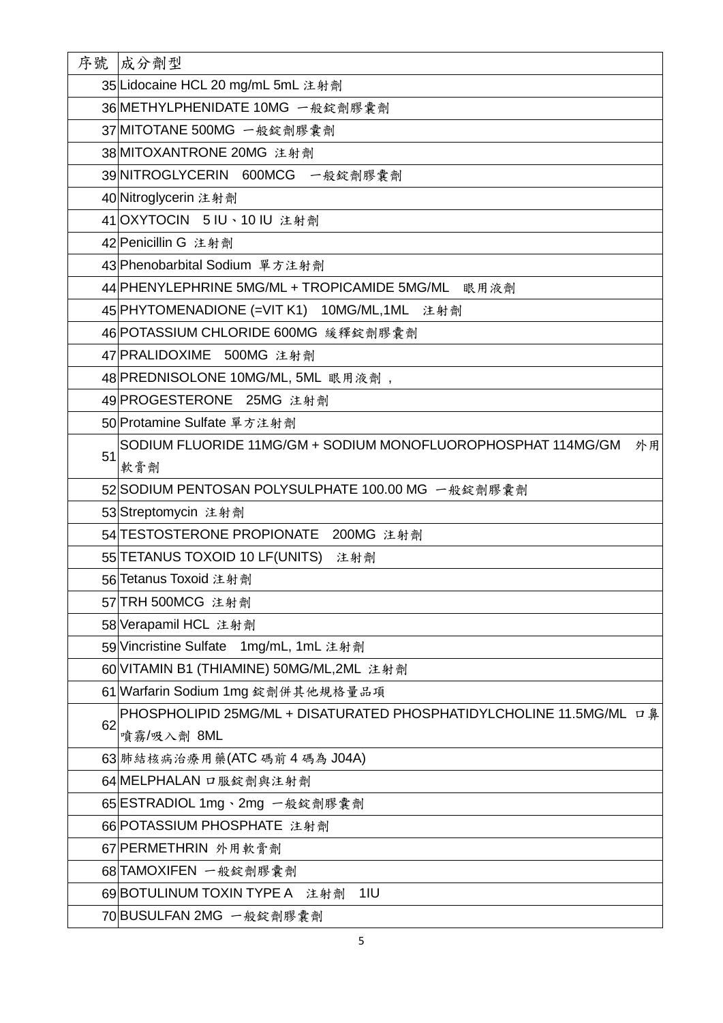| 序號 | 成分劑型                                                                |
|----|---------------------------------------------------------------------|
|    | 35 Lidocaine HCL 20 mg/mL 5mL 注射劑                                   |
|    | 36 METHYLPHENIDATE 10MG 一般錠劑膠囊劑                                     |
|    | 37 MITOTANE 500MG 一般錠劑膠囊劑                                           |
|    | 38 MITOXANTRONE 20MG 注射劑                                            |
|    | 39 NITROGLYCERIN 600MCG 一般錠劑膠囊劑                                     |
|    | 40 Nitroglycerin 注射劑                                                |
|    | 41 OXYTOCIN 5 IU、10 IU 注射劑                                          |
|    | 42 Penicillin G 注射劑                                                 |
|    | 43 Phenobarbital Sodium 單方注射劑                                       |
|    | 44 PHENYLEPHRINE 5MG/ML + TROPICAMIDE 5MG/ML 眼用液劑                   |
|    | 45 PHYTOMENADIONE (=VIT K1) 10MG/ML, 1ML 注射劑                        |
|    | 46 POTASSIUM CHLORIDE 600MG 緩釋錠劑膠囊劑                                 |
|    | 47 PRALIDOXIME 500MG 注射劑                                            |
|    | 48 PREDNISOLONE 10MG/ML, 5ML 眼用液劑,                                  |
|    | 49 PROGESTERONE 25MG 注射劑                                            |
|    | 50 Protamine Sulfate 單方注射劑                                          |
|    | SODIUM FLUORIDE 11MG/GM + SODIUM MONOFLUOROPHOSPHAT 114MG/GM<br>外用  |
| 51 | 軟膏劑                                                                 |
|    | 52 SODIUM PENTOSAN POLYSULPHATE 100.00 MG 一般錠劑膠囊劑                   |
|    | 53 Streptomycin 注射劑                                                 |
|    | 54 TESTOSTERONE PROPIONATE 200MG 注射劑                                |
|    | 55 TETANUS TOXOID 10 LF(UNITS) 注射劑                                  |
|    | 56 Tetanus Toxoid 注射劑                                               |
|    | 57 TRH 500MCG 注射劑                                                   |
|    | 58 Verapamil HCL 注射劑                                                |
|    | 59 Vincristine Sulfate 1mg/mL, 1mL 注射劑                              |
|    | 60 VITAMIN B1 (THIAMINE) 50MG/ML,2ML 注射劑                            |
|    | 61 Warfarin Sodium 1mg 錠劑併其他規格量品項                                   |
| 62 | PHOSPHOLIPID 25MG/ML + DISATURATED PHOSPHATIDYLCHOLINE 11.5MG/ML ロ鼻 |
|    | 噴霧/吸入劑 8ML                                                          |
|    | 63 肺結核病治療用藥(ATC 碼前 4 碼為 J04A)                                       |
|    | 64 MELPHALAN 口服錠劑與注射劑                                               |
|    | 65 ESTRADIOL 1mg、2mg 一般錠劑膠囊劑                                        |
|    | 66 POTASSIUM PHOSPHATE 注射劑                                          |
|    | 67 PERMETHRIN 外用軟膏劑                                                 |
|    | 68 TAMOXIFEN 一般錠劑膠囊劑                                                |
|    | 69 BOTULINUM TOXIN TYPE A 注射劑<br>11U                                |
|    | 70BUSULFAN 2MG 一般錠劑膠囊劑                                              |